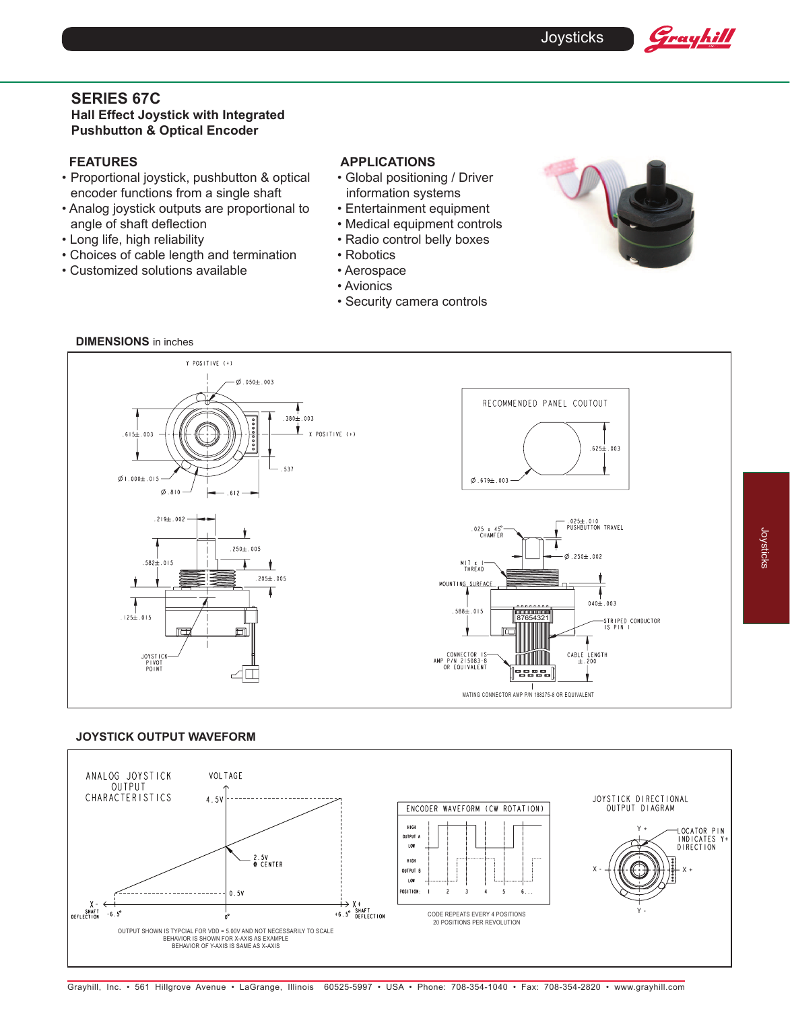# **SERIES 67C Hall Effect Joystick with Integrated Pushbutton & Optical Encoder**

# **FEATURES**

- Proportional joystick, pushbutton & optical encoder functions from a single shaft
- Analog joystick outputs are proportional to angle of shaft deflection
- Long life, high reliability
- Choices of cable length and termination
- Customized solutions available

## **APPLICATIONS**

- Global positioning / Driver information systems
- Entertainment equipment
- Medical equipment controls
- Radio control belly boxes
- Robotics
- Aerospace
- Avionics
- Security camera controls



Grayhill



### **JOYSTICK OUTPUT WAVEFORM**



Joysticks